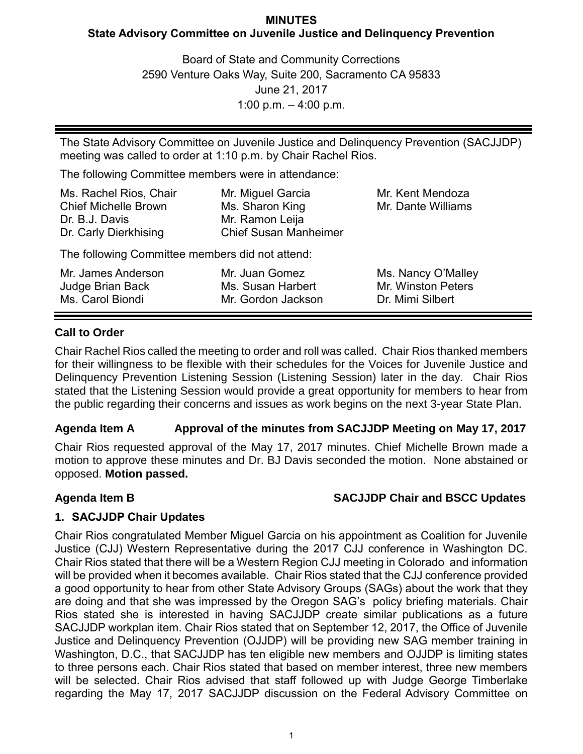## **MINUTES State Advisory Committee on Juvenile Justice and Delinquency Prevention**

Board of State and Community Corrections 2590 Venture Oaks Way, Suite 200, Sacramento CA 95833 June 21, 2017 1:00 p.m. – 4:00 p.m.

The State Advisory Committee on Juvenile Justice and Delinquency Prevention (SACJJDP) meeting was called to order at 1:10 p.m. by Chair Rachel Rios.

The following Committee members were in attendance:

| Mr. Miguel Garcia            | Mr. Kent Mendoza   |
|------------------------------|--------------------|
| Ms. Sharon King              | Mr. Dante Williams |
| Mr. Ramon Leija              |                    |
| <b>Chief Susan Manheimer</b> |                    |
|                              |                    |

The following Committee members did not attend:

| Mr. James Anderson | Mr. Juan Gomez     | Ms. Nancy O'Malley |
|--------------------|--------------------|--------------------|
| Judge Brian Back   | Ms. Susan Harbert  | Mr. Winston Peters |
| Ms. Carol Biondi   | Mr. Gordon Jackson | Dr. Mimi Silbert   |

# **Call to Order**

Chair Rachel Rios called the meeting to order and roll was called. Chair Rios thanked members for their willingness to be flexible with their schedules for the Voices for Juvenile Justice and Delinquency Prevention Listening Session (Listening Session) later in the day. Chair Rios stated that the Listening Session would provide a great opportunity for members to hear from the public regarding their concerns and issues as work begins on the next 3-year State Plan.

# **Agenda Item A Approval of the minutes from SACJJDP Meeting on May 17, 2017**

Chair Rios requested approval of the May 17, 2017 minutes. Chief Michelle Brown made a motion to approve these minutes and Dr. BJ Davis seconded the motion. None abstained or opposed. **Motion passed.**

# **Agenda Item B SACJJDP Chair and BSCC Updates**

# **1. SACJJDP Chair Updates**

Chair Rios congratulated Member Miguel Garcia on his appointment as Coalition for Juvenile Justice (CJJ) Western Representative during the 2017 CJJ conference in Washington DC. Chair Rios stated that there will be a Western Region CJJ meeting in Colorado and information will be provided when it becomes available. Chair Rios stated that the CJJ conference provided a good opportunity to hear from other State Advisory Groups (SAGs) about the work that they are doing and that she was impressed by the Oregon SAG's policy briefing materials. Chair Rios stated she is interested in having SACJJDP create similar publications as a future SACJJDP workplan item. Chair Rios stated that on September 12, 2017, the Office of Juvenile Justice and Delinquency Prevention (OJJDP) will be providing new SAG member training in Washington, D.C., that SACJJDP has ten eligible new members and OJJDP is limiting states to three persons each. Chair Rios stated that based on member interest, three new members will be selected. Chair Rios advised that staff followed up with Judge George Timberlake regarding the May 17, 2017 SACJJDP discussion on the Federal Advisory Committee on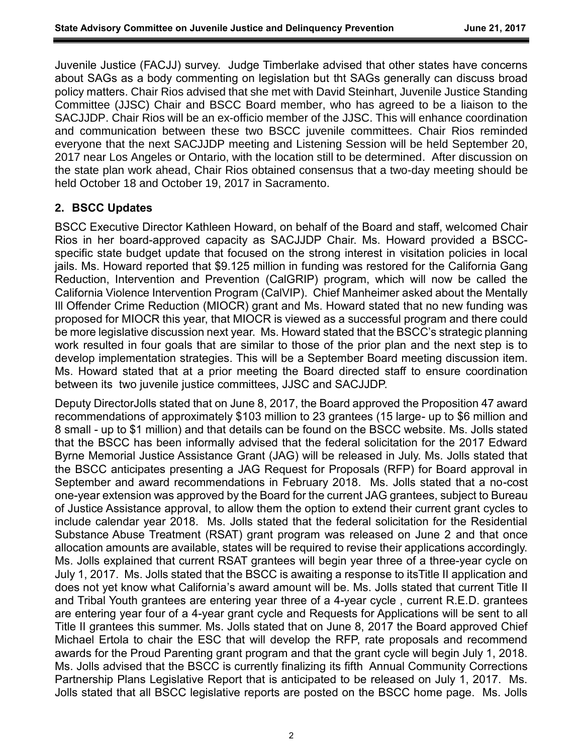Juvenile Justice (FACJJ) survey. Judge Timberlake advised that other states have concerns about SAGs as a body commenting on legislation but tht SAGs generally can discuss broad policy matters. Chair Rios advised that she met with David Steinhart, Juvenile Justice Standing Committee (JJSC) Chair and BSCC Board member, who has agreed to be a liaison to the SACJJDP. Chair Rios will be an ex-officio member of the JJSC. This will enhance coordination and communication between these two BSCC juvenile committees. Chair Rios reminded everyone that the next SACJJDP meeting and Listening Session will be held September 20, 2017 near Los Angeles or Ontario, with the location still to be determined. After discussion on the state plan work ahead, Chair Rios obtained consensus that a two-day meeting should be held October 18 and October 19, 2017 in Sacramento.

## **2. BSCC Updates**

BSCC Executive Director Kathleen Howard, on behalf of the Board and staff, welcomed Chair Rios in her board-approved capacity as SACJJDP Chair. Ms. Howard provided a BSCCspecific state budget update that focused on the strong interest in visitation policies in local jails. Ms. Howard reported that \$9.125 million in funding was restored for the California Gang Reduction, Intervention and Prevention (CalGRIP) program, which will now be called the California Violence Intervention Program (CalVIP). Chief Manheimer asked about the Mentally Ill Offender Crime Reduction (MIOCR) grant and Ms. Howard stated that no new funding was proposed for MIOCR this year, that MIOCR is viewed as a successful program and there could be more legislative discussion next year. Ms. Howard stated that the BSCC's strategic planning work resulted in four goals that are similar to those of the prior plan and the next step is to develop implementation strategies. This will be a September Board meeting discussion item. Ms. Howard stated that at a prior meeting the Board directed staff to ensure coordination between its two juvenile justice committees, JJSC and SACJJDP.

Deputy DirectorJolls stated that on June 8, 2017, the Board approved the Proposition 47 award recommendations of approximately \$103 million to 23 grantees (15 large- up to \$6 million and 8 small - up to \$1 million) and that details can be found on the BSCC website. Ms. Jolls stated that the BSCC has been informally advised that the federal solicitation for the 2017 Edward Byrne Memorial Justice Assistance Grant (JAG) will be released in July. Ms. Jolls stated that the BSCC anticipates presenting a JAG Request for Proposals (RFP) for Board approval in September and award recommendations in February 2018. Ms. Jolls stated that a no-cost one-year extension was approved by the Board for the current JAG grantees, subject to Bureau of Justice Assistance approval, to allow them the option to extend their current grant cycles to include calendar year 2018. Ms. Jolls stated that the federal solicitation for the Residential Substance Abuse Treatment (RSAT) grant program was released on June 2 and that once allocation amounts are available, states will be required to revise their applications accordingly. Ms. Jolls explained that current RSAT grantees will begin year three of a three-year cycle on July 1, 2017. Ms. Jolls stated that the BSCC is awaiting a response to itsTitle II application and does not yet know what California's award amount will be. Ms. Jolls stated that current Title II and Tribal Youth grantees are entering year three of a 4-year cycle , current R.E.D. grantees are entering year four of a 4-year grant cycle and Requests for Applications will be sent to all Title II grantees this summer. Ms. Jolls stated that on June 8, 2017 the Board approved Chief Michael Ertola to chair the ESC that will develop the RFP, rate proposals and recommend awards for the Proud Parenting grant program and that the grant cycle will begin July 1, 2018. Ms. Jolls advised that the BSCC is currently finalizing its fifth Annual Community Corrections Partnership Plans Legislative Report that is anticipated to be released on July 1, 2017. Ms. Jolls stated that all BSCC legislative reports are posted on the BSCC home page. Ms. Jolls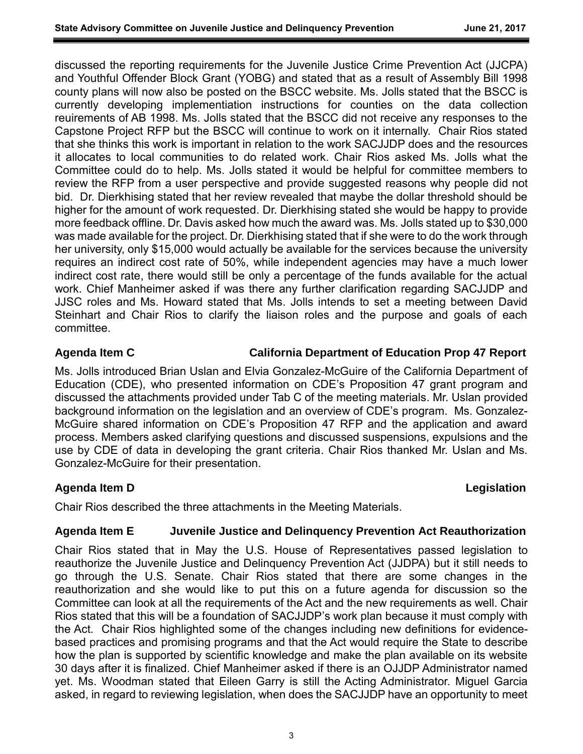discussed the reporting requirements for the Juvenile Justice Crime Prevention Act (JJCPA) and Youthful Offender Block Grant (YOBG) and stated that as a result of Assembly Bill 1998 county plans will now also be posted on the BSCC website. Ms. Jolls stated that the BSCC is currently developing implementiation instructions for counties on the data collection reuirements of AB 1998. Ms. Jolls stated that the BSCC did not receive any responses to the Capstone Project RFP but the BSCC will continue to work on it internally. Chair Rios stated that she thinks this work is important in relation to the work SACJJDP does and the resources it allocates to local communities to do related work. Chair Rios asked Ms. Jolls what the Committee could do to help. Ms. Jolls stated it would be helpful for committee members to review the RFP from a user perspective and provide suggested reasons why people did not bid. Dr. Dierkhising stated that her review revealed that maybe the dollar threshold should be higher for the amount of work requested. Dr. Dierkhising stated she would be happy to provide more feedback offline. Dr. Davis asked how much the award was. Ms. Jolls stated up to \$30,000 was made available for the project. Dr. Dierkhising stated that if she were to do the work through her university, only \$15,000 would actually be available for the services because the university requires an indirect cost rate of 50%, while independent agencies may have a much lower indirect cost rate, there would still be only a percentage of the funds available for the actual work. Chief Manheimer asked if was there any further clarification regarding SACJJDP and JJSC roles and Ms. Howard stated that Ms. Jolls intends to set a meeting between David Steinhart and Chair Rios to clarify the liaison roles and the purpose and goals of each committee.

### **Agenda Item C California Department of Education Prop 47 Report**

Ms. Jolls introduced Brian Uslan and Elvia Gonzalez-McGuire of the California Department of Education (CDE), who presented information on CDE's Proposition 47 grant program and discussed the attachments provided under Tab C of the meeting materials. Mr. Uslan provided background information on the legislation and an overview of CDE's program. Ms. Gonzalez-McGuire shared information on CDE's Proposition 47 RFP and the application and award process. Members asked clarifying questions and discussed suspensions, expulsions and the use by CDE of data in developing the grant criteria. Chair Rios thanked Mr. Uslan and Ms. Gonzalez-McGuire for their presentation.

## **Agenda Item D Legislation**

Chair Rios described the three attachments in the Meeting Materials.

## **Agenda Item E Juvenile Justice and Delinquency Prevention Act Reauthorization**

Chair Rios stated that in May the U.S. House of Representatives passed legislation to reauthorize the Juvenile Justice and Delinquency Prevention Act (JJDPA) but it still needs to go through the U.S. Senate. Chair Rios stated that there are some changes in the reauthorization and she would like to put this on a future agenda for discussion so the Committee can look at all the requirements of the Act and the new requirements as well. Chair Rios stated that this will be a foundation of SACJJDP's work plan because it must comply with the Act. Chair Rios highlighted some of the changes including new definitions for evidencebased practices and promising programs and that the Act would require the State to describe how the plan is supported by scientific knowledge and make the plan available on its website 30 days after it is finalized. Chief Manheimer asked if there is an OJJDP Administrator named yet. Ms. Woodman stated that Eileen Garry is still the Acting Administrator. Miguel Garcia asked, in regard to reviewing legislation, when does the SACJJDP have an opportunity to meet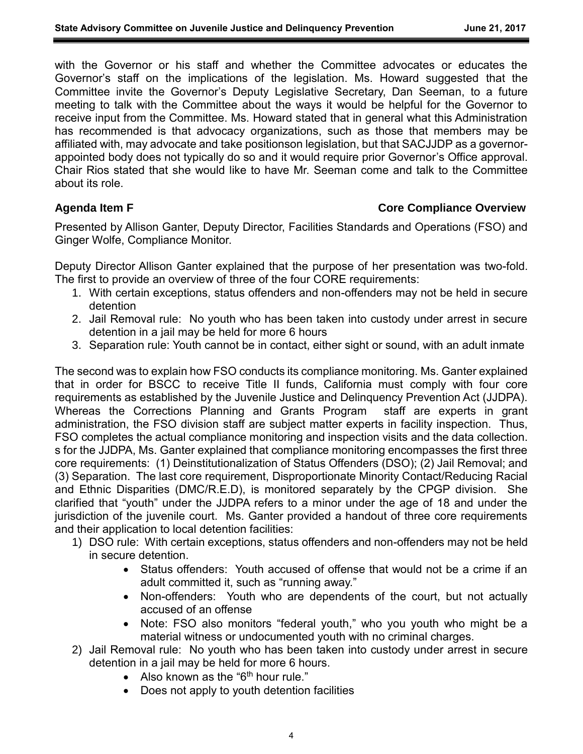with the Governor or his staff and whether the Committee advocates or educates the Governor's staff on the implications of the legislation. Ms. Howard suggested that the Committee invite the Governor's Deputy Legislative Secretary, Dan Seeman, to a future meeting to talk with the Committee about the ways it would be helpful for the Governor to receive input from the Committee. Ms. Howard stated that in general what this Administration has recommended is that advocacy organizations, such as those that members may be affiliated with, may advocate and take positionson legislation, but that SACJJDP as a governorappointed body does not typically do so and it would require prior Governor's Office approval. Chair Rios stated that she would like to have Mr. Seeman come and talk to the Committee about its role.

## **Agenda Item F Core Compliance Overview**

Presented by Allison Ganter, Deputy Director, Facilities Standards and Operations (FSO) and Ginger Wolfe, Compliance Monitor.

Deputy Director Allison Ganter explained that the purpose of her presentation was two-fold. The first to provide an overview of three of the four CORE requirements:

- 1. With certain exceptions, status offenders and non-offenders may not be held in secure detention
- 2. Jail Removal rule: No youth who has been taken into custody under arrest in secure detention in a jail may be held for more 6 hours
- 3. Separation rule: Youth cannot be in contact, either sight or sound, with an adult inmate

The second was to explain how FSO conducts its compliance monitoring. Ms. Ganter explained that in order for BSCC to receive Title II funds, California must comply with four core requirements as established by the Juvenile Justice and Delinquency Prevention Act (JJDPA). Whereas the Corrections Planning and Grants Program staff are experts in grant administration, the FSO division staff are subject matter experts in facility inspection. Thus, FSO completes the actual compliance monitoring and inspection visits and the data collection. s for the JJDPA, Ms. Ganter explained that compliance monitoring encompasses the first three core requirements: (1) Deinstitutionalization of Status Offenders (DSO); (2) Jail Removal; and (3) Separation. The last core requirement, Disproportionate Minority Contact/Reducing Racial and Ethnic Disparities (DMC/R.E.D), is monitored separately by the CPGP division. She clarified that "youth" under the JJDPA refers to a minor under the age of 18 and under the jurisdiction of the juvenile court. Ms. Ganter provided a handout of three core requirements and their application to local detention facilities:

- 1) DSO rule: With certain exceptions, status offenders and non-offenders may not be held in secure detention.
	- Status offenders: Youth accused of offense that would not be a crime if an adult committed it, such as "running away."
	- Non-offenders: Youth who are dependents of the court, but not actually accused of an offense
	- Note: FSO also monitors "federal youth," who you youth who might be a material witness or undocumented youth with no criminal charges.
- 2) Jail Removal rule: No youth who has been taken into custody under arrest in secure detention in a jail may be held for more 6 hours.
	- Also known as the " $6<sup>th</sup>$  hour rule."
	- Does not apply to youth detention facilities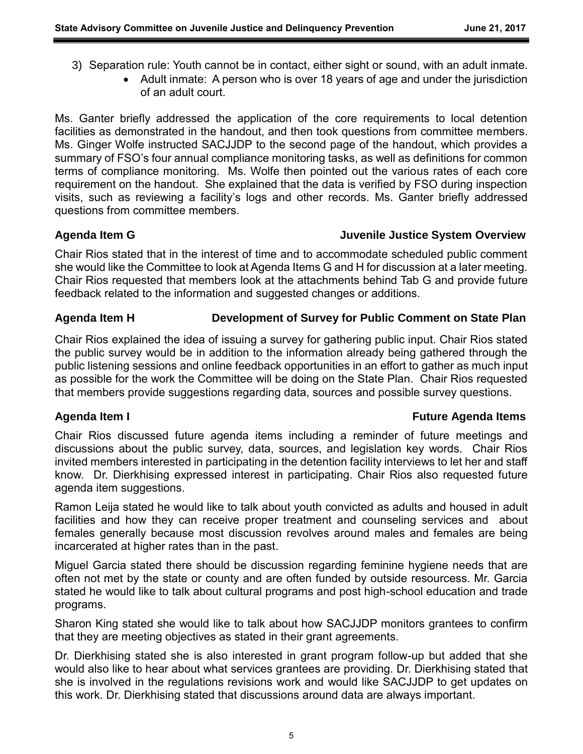- 3) Separation rule: Youth cannot be in contact, either sight or sound, with an adult inmate.
	- Adult inmate: A person who is over 18 years of age and under the jurisdiction of an adult court.

Ms. Ganter briefly addressed the application of the core requirements to local detention facilities as demonstrated in the handout, and then took questions from committee members. Ms. Ginger Wolfe instructed SACJJDP to the second page of the handout, which provides a summary of FSO's four annual compliance monitoring tasks, as well as definitions for common terms of compliance monitoring. Ms. Wolfe then pointed out the various rates of each core requirement on the handout. She explained that the data is verified by FSO during inspection visits, such as reviewing a facility's logs and other records. Ms. Ganter briefly addressed questions from committee members.

## **Agenda Item G Juvenile Justice System Overview**

Chair Rios stated that in the interest of time and to accommodate scheduled public comment she would like the Committee to look at Agenda Items G and H for discussion at a later meeting. Chair Rios requested that members look at the attachments behind Tab G and provide future feedback related to the information and suggested changes or additions.

# **Agenda Item H Development of Survey for Public Comment on State Plan**

Chair Rios explained the idea of issuing a survey for gathering public input. Chair Rios stated the public survey would be in addition to the information already being gathered through the public listening sessions and online feedback opportunities in an effort to gather as much input as possible for the work the Committee will be doing on the State Plan. Chair Rios requested that members provide suggestions regarding data, sources and possible survey questions.

## **Agenda Item I Future Agenda Items**

Chair Rios discussed future agenda items including a reminder of future meetings and discussions about the public survey, data, sources, and legislation key words. Chair Rios invited members interested in participating in the detention facility interviews to let her and staff know. Dr. Dierkhising expressed interest in participating. Chair Rios also requested future agenda item suggestions.

Ramon Leija stated he would like to talk about youth convicted as adults and housed in adult facilities and how they can receive proper treatment and counseling services and about females generally because most discussion revolves around males and females are being incarcerated at higher rates than in the past.

Miguel Garcia stated there should be discussion regarding feminine hygiene needs that are often not met by the state or county and are often funded by outside resourcess. Mr. Garcia stated he would like to talk about cultural programs and post high-school education and trade programs.

Sharon King stated she would like to talk about how SACJJDP monitors grantees to confirm that they are meeting objectives as stated in their grant agreements.

Dr. Dierkhising stated she is also interested in grant program follow-up but added that she would also like to hear about what services grantees are providing. Dr. Dierkhising stated that she is involved in the regulations revisions work and would like SACJJDP to get updates on this work. Dr. Dierkhising stated that discussions around data are always important.